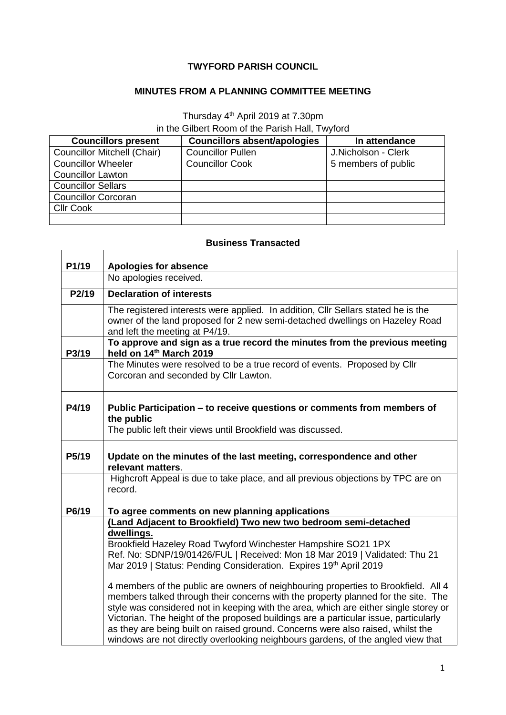## **TWYFORD PARISH COUNCIL**

## **MINUTES FROM A PLANNING COMMITTEE MEETING**

## Thursday 4<sup>th</sup> April 2019 at 7.30pm in the Gilbert Room of the Parish Hall, Twyford

| <b>Councillors present</b>         | <b>Councillors absent/apologies</b> | In attendance       |
|------------------------------------|-------------------------------------|---------------------|
| <b>Councillor Mitchell (Chair)</b> | <b>Councillor Pullen</b>            | J.Nicholson - Clerk |
| <b>Councillor Wheeler</b>          | <b>Councillor Cook</b>              | 5 members of public |
| <b>Councillor Lawton</b>           |                                     |                     |
| <b>Councillor Sellars</b>          |                                     |                     |
| <b>Councillor Corcoran</b>         |                                     |                     |
| <b>Cllr Cook</b>                   |                                     |                     |
|                                    |                                     |                     |

## **Business Transacted**

| P1/19              | Apologies for absence                                                                                                                                                                                                                                                                                                                                                                                                                                                                                                          |  |
|--------------------|--------------------------------------------------------------------------------------------------------------------------------------------------------------------------------------------------------------------------------------------------------------------------------------------------------------------------------------------------------------------------------------------------------------------------------------------------------------------------------------------------------------------------------|--|
|                    | No apologies received.                                                                                                                                                                                                                                                                                                                                                                                                                                                                                                         |  |
| P2/19              | <b>Declaration of interests</b>                                                                                                                                                                                                                                                                                                                                                                                                                                                                                                |  |
|                    | The registered interests were applied. In addition, Cllr Sellars stated he is the<br>owner of the land proposed for 2 new semi-detached dwellings on Hazeley Road<br>and left the meeting at P4/19.                                                                                                                                                                                                                                                                                                                            |  |
| P3/19              | To approve and sign as a true record the minutes from the previous meeting<br>held on 14th March 2019                                                                                                                                                                                                                                                                                                                                                                                                                          |  |
|                    | The Minutes were resolved to be a true record of events. Proposed by Cllr<br>Corcoran and seconded by Cllr Lawton.                                                                                                                                                                                                                                                                                                                                                                                                             |  |
| P4/19              | Public Participation - to receive questions or comments from members of<br>the public                                                                                                                                                                                                                                                                                                                                                                                                                                          |  |
|                    | The public left their views until Brookfield was discussed.                                                                                                                                                                                                                                                                                                                                                                                                                                                                    |  |
| P <sub>5</sub> /19 | Update on the minutes of the last meeting, correspondence and other<br>relevant matters.                                                                                                                                                                                                                                                                                                                                                                                                                                       |  |
|                    | Highcroft Appeal is due to take place, and all previous objections by TPC are on<br>record.                                                                                                                                                                                                                                                                                                                                                                                                                                    |  |
| P6/19              | To agree comments on new planning applications                                                                                                                                                                                                                                                                                                                                                                                                                                                                                 |  |
|                    | (Land Adjacent to Brookfield) Two new two bedroom semi-detached                                                                                                                                                                                                                                                                                                                                                                                                                                                                |  |
|                    | dwellings.<br>Brookfield Hazeley Road Twyford Winchester Hampshire SO21 1PX<br>Ref. No: SDNP/19/01426/FUL   Received: Mon 18 Mar 2019   Validated: Thu 21<br>Mar 2019   Status: Pending Consideration. Expires 19th April 2019                                                                                                                                                                                                                                                                                                 |  |
|                    | 4 members of the public are owners of neighbouring properties to Brookfield. All 4<br>members talked through their concerns with the property planned for the site. The<br>style was considered not in keeping with the area, which are either single storey or<br>Victorian. The height of the proposed buildings are a particular issue, particularly<br>as they are being built on raised ground. Concerns were also raised, whilst the<br>windows are not directly overlooking neighbours gardens, of the angled view that |  |

٦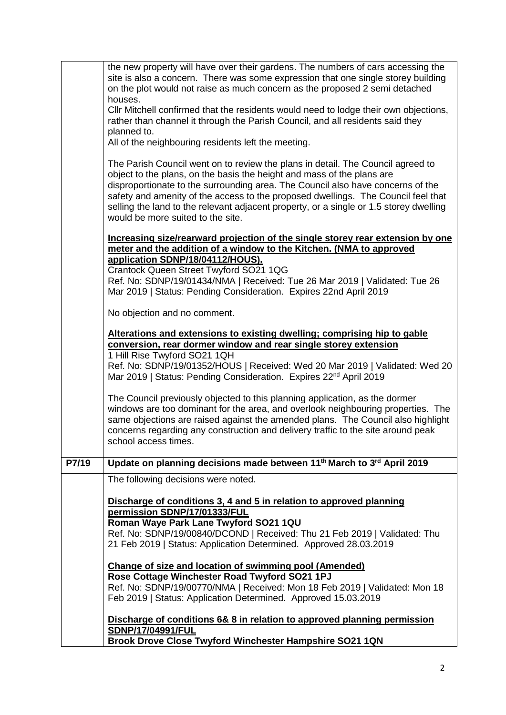|       | CIIr Mitchell confirmed that the residents would need to lodge their own objections,<br>rather than channel it through the Parish Council, and all residents said they                                                                                                                                                                                                                                                                                           |
|-------|------------------------------------------------------------------------------------------------------------------------------------------------------------------------------------------------------------------------------------------------------------------------------------------------------------------------------------------------------------------------------------------------------------------------------------------------------------------|
|       | planned to.                                                                                                                                                                                                                                                                                                                                                                                                                                                      |
|       | All of the neighbouring residents left the meeting.                                                                                                                                                                                                                                                                                                                                                                                                              |
|       | The Parish Council went on to review the plans in detail. The Council agreed to<br>object to the plans, on the basis the height and mass of the plans are<br>disproportionate to the surrounding area. The Council also have concerns of the<br>safety and amenity of the access to the proposed dwellings. The Council feel that<br>selling the land to the relevant adjacent property, or a single or 1.5 storey dwelling<br>would be more suited to the site. |
|       | Increasing size/rearward projection of the single storey rear extension by one<br>meter and the addition of a window to the Kitchen. (NMA to approved                                                                                                                                                                                                                                                                                                            |
|       | application SDNP/18/04112/HOUS).                                                                                                                                                                                                                                                                                                                                                                                                                                 |
|       | Crantock Queen Street Twyford SO21 1QG<br>Ref. No: SDNP/19/01434/NMA   Received: Tue 26 Mar 2019   Validated: Tue 26                                                                                                                                                                                                                                                                                                                                             |
|       | Mar 2019   Status: Pending Consideration. Expires 22nd April 2019                                                                                                                                                                                                                                                                                                                                                                                                |
|       | No objection and no comment.                                                                                                                                                                                                                                                                                                                                                                                                                                     |
|       | Alterations and extensions to existing dwelling; comprising hip to gable                                                                                                                                                                                                                                                                                                                                                                                         |
|       | conversion, rear dormer window and rear single storey extension                                                                                                                                                                                                                                                                                                                                                                                                  |
|       | 1 Hill Rise Twyford SO21 1QH<br>Ref. No: SDNP/19/01352/HOUS   Received: Wed 20 Mar 2019   Validated: Wed 20<br>Mar 2019   Status: Pending Consideration. Expires 22 <sup>nd</sup> April 2019                                                                                                                                                                                                                                                                     |
|       | The Council previously objected to this planning application, as the dormer<br>windows are too dominant for the area, and overlook neighbouring properties. The<br>same objections are raised against the amended plans. The Council also highlight<br>concerns regarding any construction and delivery traffic to the site around peak<br>school access times.                                                                                                  |
| P7/19 | Update on planning decisions made between 11 <sup>th</sup> March to 3 <sup>rd</sup> April 2019                                                                                                                                                                                                                                                                                                                                                                   |
|       | The following decisions were noted.                                                                                                                                                                                                                                                                                                                                                                                                                              |
|       |                                                                                                                                                                                                                                                                                                                                                                                                                                                                  |
|       | Discharge of conditions 3, 4 and 5 in relation to approved planning<br>permission SDNP/17/01333/FUL                                                                                                                                                                                                                                                                                                                                                              |
|       | Roman Waye Park Lane Twyford SO21 1QU                                                                                                                                                                                                                                                                                                                                                                                                                            |
|       | Ref. No: SDNP/19/00840/DCOND   Received: Thu 21 Feb 2019   Validated: Thu                                                                                                                                                                                                                                                                                                                                                                                        |
|       | 21 Feb 2019   Status: Application Determined. Approved 28.03.2019                                                                                                                                                                                                                                                                                                                                                                                                |
|       | Change of size and location of swimming pool (Amended)                                                                                                                                                                                                                                                                                                                                                                                                           |
|       |                                                                                                                                                                                                                                                                                                                                                                                                                                                                  |
|       | Rose Cottage Winchester Road Twyford SO21 1PJ                                                                                                                                                                                                                                                                                                                                                                                                                    |
|       | Ref. No: SDNP/19/00770/NMA   Received: Mon 18 Feb 2019   Validated: Mon 18                                                                                                                                                                                                                                                                                                                                                                                       |
|       | Feb 2019   Status: Application Determined. Approved 15.03.2019                                                                                                                                                                                                                                                                                                                                                                                                   |
|       | Discharge of conditions 6& 8 in relation to approved planning permission                                                                                                                                                                                                                                                                                                                                                                                         |
|       | SDNP/17/04991/FUL<br>Brook Drove Close Twyford Winchester Hampshire SO21 1QN                                                                                                                                                                                                                                                                                                                                                                                     |